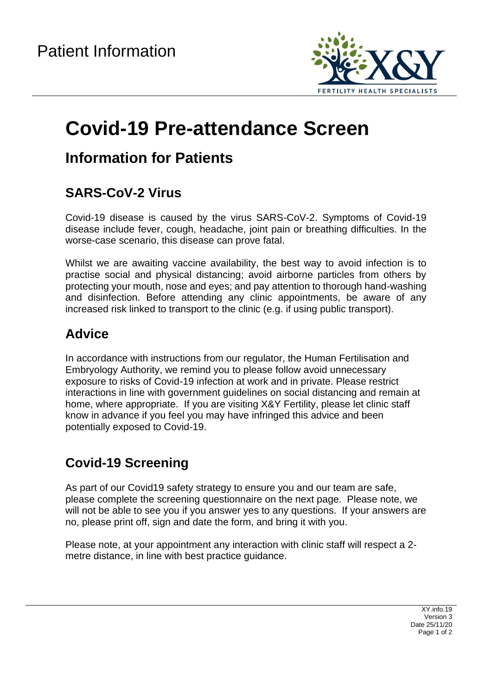

# **Covid-19 Pre-attendance Screen**

### **Information for Patients**

#### **SARS-CoV-2 Virus**

Covid-19 disease is caused by the virus SARS-CoV-2. Symptoms of Covid-19 disease include fever, cough, headache, joint pain or breathing difficulties. In the worse-case scenario, this disease can prove fatal.

Whilst we are awaiting vaccine availability, the best way to avoid infection is to practise social and physical distancing; avoid airborne particles from others by protecting your mouth, nose and eyes; and pay attention to thorough hand-washing and disinfection. Before attending any clinic appointments, be aware of any increased risk linked to transport to the clinic (e.g. if using public transport).

#### **Advice**

In accordance with instructions from our regulator, the Human Fertilisation and Embryology Authority, we remind you to please follow avoid unnecessary exposure to risks of Covid-19 infection at work and in private. Please restrict interactions in line with government guidelines on social distancing and remain at home, where appropriate. If you are visiting X&Y Fertility, please let clinic staff know in advance if you feel you may have infringed this advice and been potentially exposed to Covid-19.

### **Covid-19 Screening**

As part of our Covid19 safety strategy to ensure you and our team are safe, please complete the screening questionnaire on the next page. Please note, we will not be able to see you if you answer yes to any questions. If your answers are no, please print off, sign and date the form, and bring it with you.

Please note, at your appointment any interaction with clinic staff will respect a 2 metre distance, in line with best practice guidance.